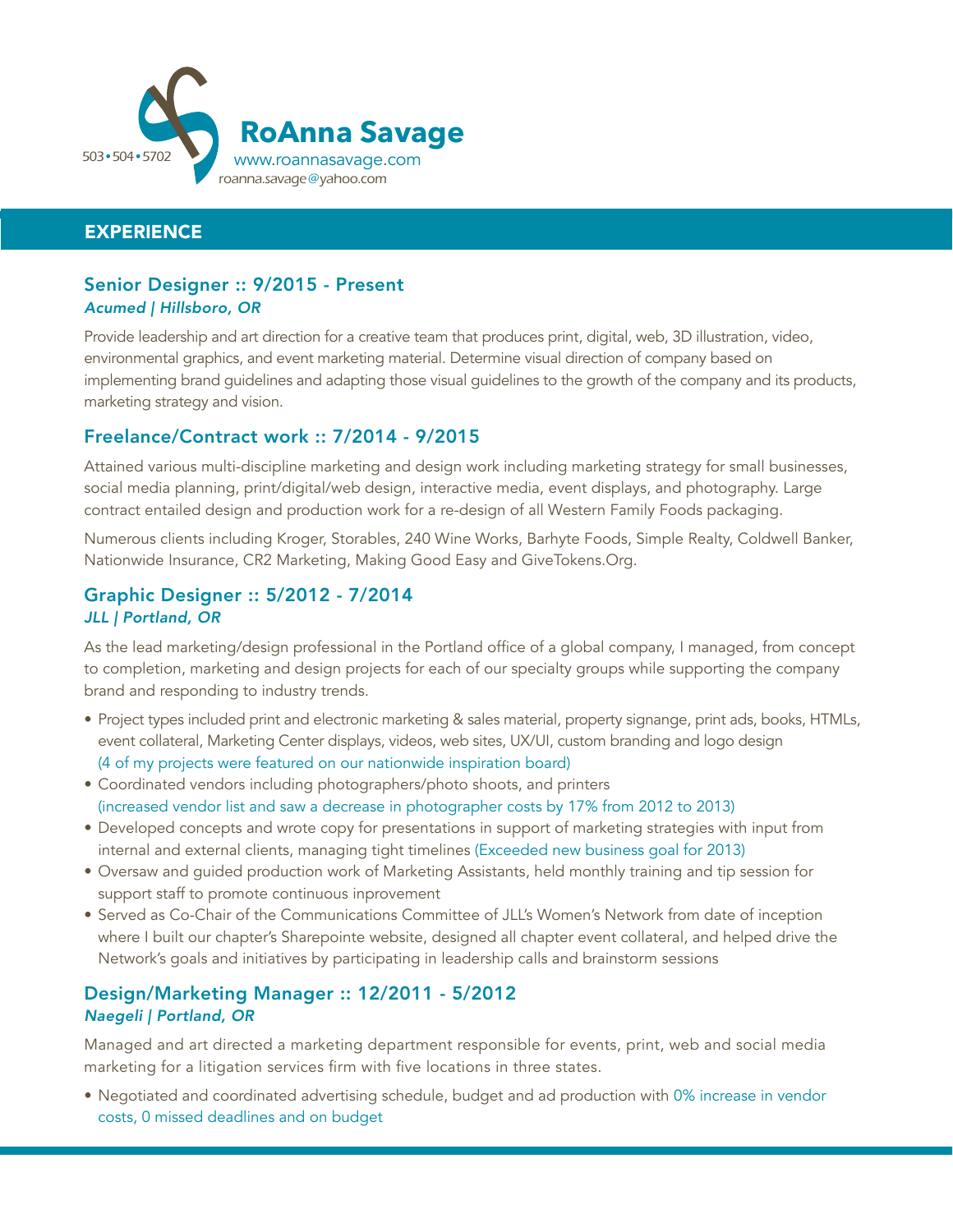

## **EXPERIENCE**

#### Senior Designer :: 9/2015 - Present *Acumed | Hillsboro, OR*

Provide leadership and art direction for a creative team that produces print, digital, web, 3D illustration, video, environmental graphics, and event marketing material. Determine visual direction of company based on implementing brand guidelines and adapting those visual guidelines to the growth of the company and its products, marketing strategy and vision.

## Freelance/Contract work :: 7/2014 - 9/2015

Attained various multi-discipline marketing and design work including marketing strategy for small businesses, social media planning, print/digital/web design, interactive media, event displays, and photography. Large contract entailed design and production work for a re-design of all Western Family Foods packaging.

Numerous clients including Kroger, Storables, 240 Wine Works, Barhyte Foods, Simple Realty, Coldwell Banker, Nationwide Insurance, CR2 Marketing, Making Good Easy and GiveTokens.Org.

### Graphic Designer :: 5/2012 - 7/2014 *JLL | Portland, OR*

As the lead marketing/design professional in the Portland office of a global company, I managed, from concept to completion, marketing and design projects for each of our specialty groups while supporting the company brand and responding to industry trends.

- Project types included print and electronic marketing & sales material, property signange, print ads, books, HTMLs, event collateral, Marketing Center displays, videos, web sites, UX/UI, custom branding and logo design (4 of my projects were featured on our nationwide inspiration board)
- Coordinated vendors including photographers/photo shoots, and printers (increased vendor list and saw a decrease in photographer costs by 17% from 2012 to 2013)
- Developed concepts and wrote copy for presentations in support of marketing strategies with input from internal and external clients, managing tight timelines (Exceeded new business goal for 2013)
- Oversaw and guided production work of Marketing Assistants, held monthly training and tip session for support staff to promote continuous inprovement
- Served as Co-Chair of the Communications Committee of JLL's Women's Network from date of inception where I built our chapter's Sharepointe website, designed all chapter event collateral, and helped drive the Network's goals and initiatives by participating in leadership calls and brainstorm sessions

## Design/Marketing Manager :: 12/2011 - 5/2012 *Naegeli | Portland, OR*

Managed and art directed a marketing department responsible for events, print, web and social media marketing for a litigation services firm with five locations in three states.

• Negotiated and coordinated advertising schedule, budget and ad production with 0% increase in vendor costs, 0 missed deadlines and on budget